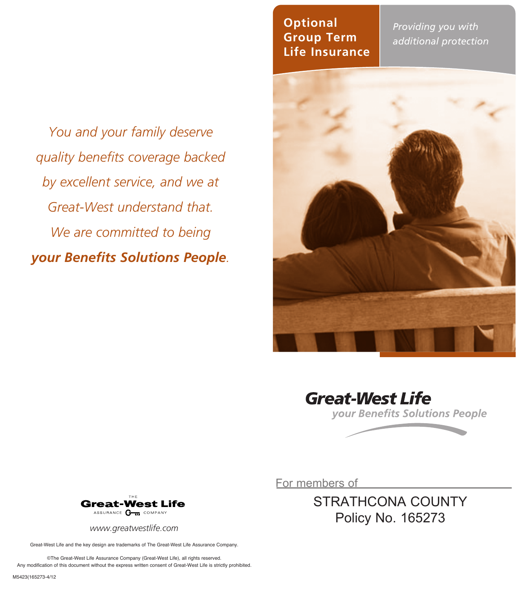*You and your family deserve quality benefits coverage backed by excellent service, and we at Great-West understand that. We are committed to being your Benefits Solutions People.*

#### **Optional Group Term Life Insurance**

*Providing you with additional protection*







For members of

STRATHCONA COUNTY Policy No. 165273



*www.greatwestlife.com*

Great-West Life and the key design are trademarks of The Great-West Life Assurance Company.

©The Great-West Life Assurance Company (Great-West Life), all rights reserved. Any modification of this document without the express written consent of Great-West Life is strictly prohibited.